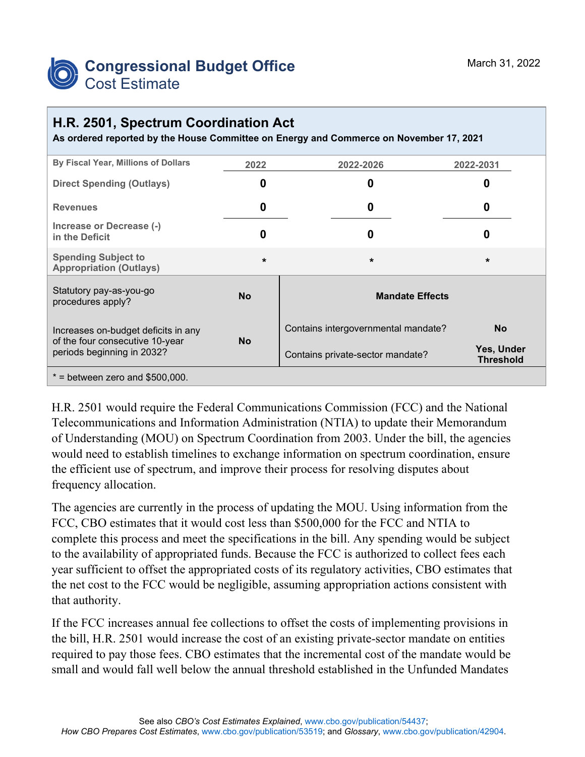

## **H.R. 2501, Spectrum Coordination Act**

**As ordered reported by the House Committee on Energy and Commerce on November 17, 2021**

| By Fiscal Year, Millions of Dollars                                                                  | 2022      | 2022-2026                           | 2022-2031                      |
|------------------------------------------------------------------------------------------------------|-----------|-------------------------------------|--------------------------------|
| <b>Direct Spending (Outlays)</b>                                                                     | 0         | 0                                   | O                              |
| <b>Revenues</b>                                                                                      | 0         | 0                                   | 0                              |
| Increase or Decrease (-)<br>in the Deficit                                                           | 0         | 0                                   | 0                              |
| <b>Spending Subject to</b><br><b>Appropriation (Outlays)</b>                                         | $\star$   | $\star$                             | $\star$                        |
| Statutory pay-as-you-go<br>procedures apply?                                                         | <b>No</b> | <b>Mandate Effects</b>              |                                |
| Increases on-budget deficits in any<br>of the four consecutive 10-year<br>periods beginning in 2032? | <b>No</b> | Contains intergovernmental mandate? | <b>No</b>                      |
|                                                                                                      |           | Contains private-sector mandate?    | Yes, Under<br><b>Threshold</b> |
| $*$ = between zero and \$500,000.                                                                    |           |                                     |                                |

H.R. 2501 would require the Federal Communications Commission (FCC) and the National Telecommunications and Information Administration (NTIA) to update their Memorandum of Understanding (MOU) on Spectrum Coordination from 2003. Under the bill, the agencies would need to establish timelines to exchange information on spectrum coordination, ensure the efficient use of spectrum, and improve their process for resolving disputes about frequency allocation.

The agencies are currently in the process of updating the MOU. Using information from the FCC, CBO estimates that it would cost less than \$500,000 for the FCC and NTIA to complete this process and meet the specifications in the bill. Any spending would be subject to the availability of appropriated funds. Because the FCC is authorized to collect fees each year sufficient to offset the appropriated costs of its regulatory activities, CBO estimates that the net cost to the FCC would be negligible, assuming appropriation actions consistent with that authority.

If the FCC increases annual fee collections to offset the costs of implementing provisions in the bill, H.R. 2501 would increase the cost of an existing private-sector mandate on entities required to pay those fees. CBO estimates that the incremental cost of the mandate would be small and would fall well below the annual threshold established in the Unfunded Mandates